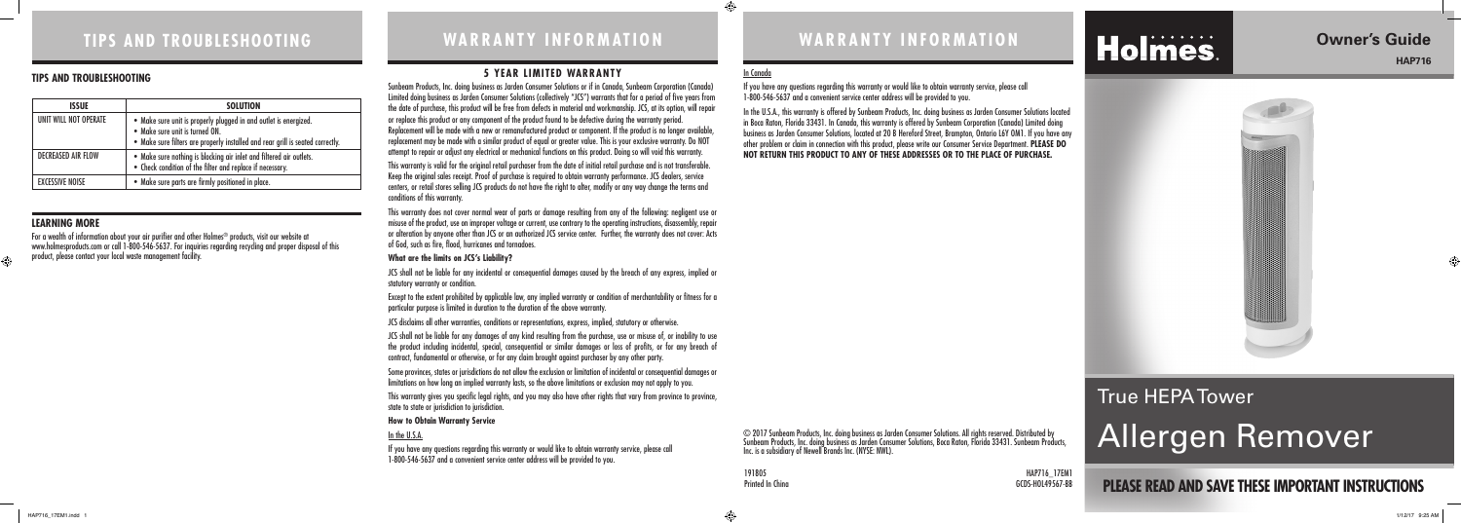### **5 YEAR LIMITED WARRANTY**

Sunbeam Products, Inc. doing business as Jarden Consumer Solutions or if in Canada, Sunbeam Corporation (Canada) Limited doing business as Jarden Consumer Solutions (collectively "JCS") warrants that for a period of five years from the date of purchase, this product will be free from defects in material and workmanship. JCS, at its option, will repair or replace this product or any component of the product found to be defective during the warranty period. Replacement will be made with a new or remanufactured product or component. If the product is no longer available, replacement may be made with a similar product of equal or greater value. This is your exclusive warranty. Do NOT attempt to repair or adjust any electrical or mechanical functions on this product. Doing so will void this warranty.

This warranty does not cover normal wear of parts or damage resulting from any of the following: negligent use or misuse of the product, use on improper voltage or current, use contrary to the operating instructions, disassembly, repair or alteration by anyone other than JCS or an authorized JCS service center. Further, the warranty does not cover: Acts of God, such as fire, flood, hurricanes and tornadoes.

JCS shall not be liable for any incidental or consequential damages caused by the breach of any express, implied or statutory warranty or condition.

This warranty is valid for the original retail purchaser from the date of initial retail purchase and is not transferable. Keep the original sales receipt. Proof of purchase is required to obtain warranty performance. JCS dealers, service centers, or retail stores selling JCS products do not have the right to alter, modify or any way change the terms and conditions of this warranty.

#### **What are the limits on JCS's Liability?**

Except to the extent prohibited by applicable law, any implied warranty or condition of merchantability or fitness for a particular purpose is limited in duration to the duration of the above warranty.

JCS disclaims all other warranties, conditions or representations, express, implied, statutory or otherwise.

JCS shall not be liable for any damages of any kind resulting from the purchase, use or misuse of, or inability to use the product including incidental, special, consequential or similar damages or loss of profits, or for any breach of contract, fundamental or otherwise, or for any claim brought against purchaser by any other party.

In the U.S.A., this warranty is offered by Sunbeam Products, Inc. doing business as Jarden Consumer Solutions located in Boca Raton, Florida 33431. In Canada, this warranty is offered by Sunbeam Corporation (Canada) Limited doing business as Jarden Consumer Solutions, located at 20 B Hereford Street, Brampton, Ontario L6Y OM1. If you have any other problem or claim in connection with this product, please write our Consumer Service Department. **PLEASE DO NOT RETURN THIS PRODUCT TO ANY OF THESE ADDRESSES OR TO THE PLACE OF PURCHASE.** 

♠

# Holmes.

Some provinces, states or jurisdictions do not allow the exclusion or limitation of incidental or consequential damages or limitations on how long an implied warranty lasts, so the above limitations or exclusion may not apply to you.

This warranty gives you specific legal rights, and you may also have other rights that vary from province to province, state to state or jurisdiction to jurisdiction.

#### **How to Obtain Warranty Service**

#### In the U.S.A.

If you have any questions regarding this warranty or would like to obtain warranty service, please call 1-800-546-5637 and a convenient service center address will be provided to you.

# **TIPS AND TROUBLESHOOTING WARRANTY INFORMATION WARRANTY INFORMATION**

**PLEASE READ AND SAVE THESE IMPORTANT INSTRUCTIONS**

## **Owner's Guide HAP716**



GCDS-HOL49567-BB

# True HEPA Tower Allergen Remover

#### **LEARNING MORE**

For a wealth of information about your air purifier and other Holmes® products, visit our website at www.holmesproducts.com or call 1-800-546-5637. For inquiries regarding recycling and proper disposal of this product, please contact your local waste management facility.

### **TIPS AND TROUBLESHOOTING**

| <b>ISSUE</b>              | <b>SOLUTION</b>                                                                                                                                                                      |  |  |
|---------------------------|--------------------------------------------------------------------------------------------------------------------------------------------------------------------------------------|--|--|
| UNIT WILL NOT OPERATE     | • Make sure unit is properly plugged in and outlet is energized.<br>• Make sure unit is turned ON.<br>• Make sure filters are properly installed and rear grill is seated correctly. |  |  |
| <b>DECREASED AIR FLOW</b> | • Make sure nothing is blocking air inlet and filtered air outlets.<br>• Check condition of the filter and replace if necessary.                                                     |  |  |
| <b>FXCESSIVE NOISE</b>    | • Make sure parts are firmly positioned in place.                                                                                                                                    |  |  |

© 2017 Sunbeam Products, Inc. doing business as Jarden Consumer Solutions. All rights reserved. Distributed by Sunbeam Products, Inc. doing business as Jarden Consumer Solutions, Boca Raton, Florida 33431. Sunbeam Products, Inc. is a subsidiary of Newell Brands Inc. (NYSE: NWL).

191805 HAP716\_17EM1<br>Printed In China

### In Canada

If you have any questions regarding this warranty or would like to obtain warranty service, please call 1-800-546-5637 and a convenient service center address will be provided to you.